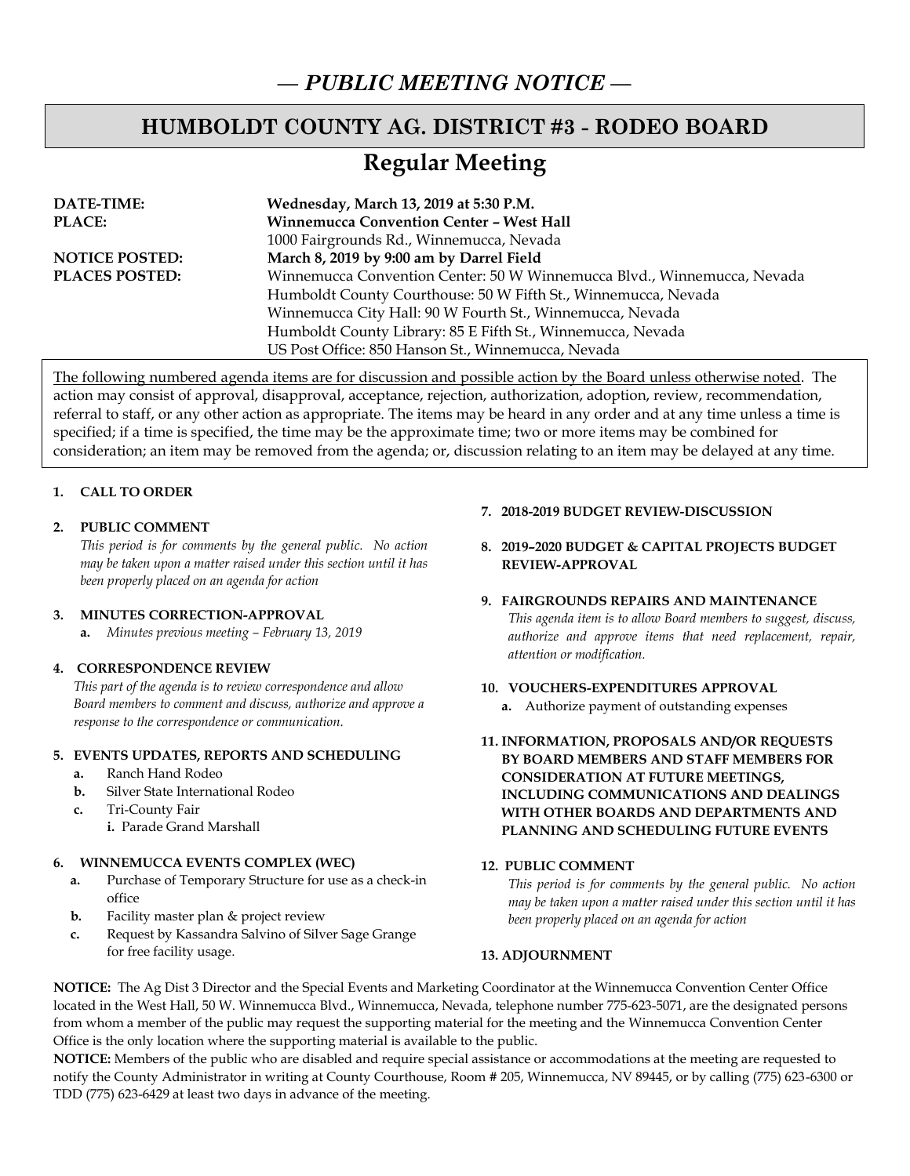## *— PUBLIC MEETING NOTICE —*

## **HUMBOLDT COUNTY AG. DISTRICT #3 - RODEO BOARD**

# **Regular Meeting**

| DATE-TIME:            | Wednesday, March 13, 2019 at 5:30 P.M.                                  |
|-----------------------|-------------------------------------------------------------------------|
| <b>PLACE:</b>         | <b>Winnemucca Convention Center - West Hall</b>                         |
|                       | 1000 Fairgrounds Rd., Winnemucca, Nevada                                |
| <b>NOTICE POSTED:</b> | March 8, 2019 by 9:00 am by Darrel Field                                |
| <b>PLACES POSTED:</b> | Winnemucca Convention Center: 50 W Winnemucca Blvd., Winnemucca, Nevada |
|                       | Humboldt County Courthouse: 50 W Fifth St., Winnemucca, Nevada          |
|                       | Winnemucca City Hall: 90 W Fourth St., Winnemucca, Nevada               |
|                       | Humboldt County Library: 85 E Fifth St., Winnemucca, Nevada             |
|                       | US Post Office: 850 Hanson St., Winnemucca, Nevada                      |

The following numbered agenda items are for discussion and possible action by the Board unless otherwise noted. The action may consist of approval, disapproval, acceptance, rejection, authorization, adoption, review, recommendation, referral to staff, or any other action as appropriate. The items may be heard in any order and at any time unless a time is specified; if a time is specified, the time may be the approximate time; two or more items may be combined for consideration; an item may be removed from the agenda; or, discussion relating to an item may be delayed at any time.

## **1. CALL TO ORDER**

## **2. PUBLIC COMMENT**

*This period is for comments by the general public. No action may be taken upon a matter raised under this section until it has been properly placed on an agenda for action* 

#### **3. MINUTES CORRECTION-APPROVAL**

**a.** *Minutes previous meeting – February 13, 2019* 

## **4. CORRESPONDENCE REVIEW**

*This part of the agenda is to review correspondence and allow Board members to comment and discuss, authorize and approve a response to the correspondence or communication.* 

## **5. EVENTS UPDATES, REPORTS AND SCHEDULING**

- **a.** Ranch Hand Rodeo
- **b.** Silver State International Rodeo
- **c.** Tri-County Fair  **i.** Parade Grand Marshall

#### **6. WINNEMUCCA EVENTS COMPLEX (WEC)**

- **a.** Purchase of Temporary Structure for use as a check-in office
- **b.** Facility master plan & project review
- **c.** Request by Kassandra Salvino of Silver Sage Grange for free facility usage.

## **7. 2018-2019 BUDGET REVIEW-DISCUSSION**

**8. 2019–2020 BUDGET & CAPITAL PROJECTS BUDGET REVIEW-APPROVAL** 

### **9. FAIRGROUNDS REPAIRS AND MAINTENANCE**

*This agenda item is to allow Board members to suggest, discuss, authorize and approve items that need replacement, repair, attention or modification.* 

#### **10. VOUCHERS-EXPENDITURES APPROVAL**

- **a.** Authorize payment of outstanding expenses
- **11. INFORMATION, PROPOSALS AND/OR REQUESTS BY BOARD MEMBERS AND STAFF MEMBERS FOR CONSIDERATION AT FUTURE MEETINGS, INCLUDING COMMUNICATIONS AND DEALINGS WITH OTHER BOARDS AND DEPARTMENTS AND PLANNING AND SCHEDULING FUTURE EVENTS**

#### **12. PUBLIC COMMENT**

*This period is for comments by the general public. No action may be taken upon a matter raised under this section until it has been properly placed on an agenda for action*

## **13. ADJOURNMENT**

**NOTICE:** The Ag Dist 3 Director and the Special Events and Marketing Coordinator at the Winnemucca Convention Center Office located in the West Hall, 50 W. Winnemucca Blvd., Winnemucca, Nevada, telephone number 775-623-5071, are the designated persons from whom a member of the public may request the supporting material for the meeting and the Winnemucca Convention Center Office is the only location where the supporting material is available to the public.

**NOTICE:** Members of the public who are disabled and require special assistance or accommodations at the meeting are requested to notify the County Administrator in writing at County Courthouse, Room # 205, Winnemucca, NV 89445, or by calling (775) 623-6300 or TDD (775) 623-6429 at least two days in advance of the meeting.